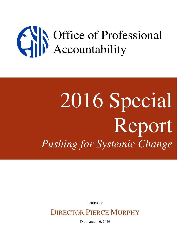# Office of Professional Accountability

# 2016 Special Report *Pushing for Systemic Change*

ISSUED BY

# DIRECTOR PIERCE MURPHY

DECEMBER 16, 2016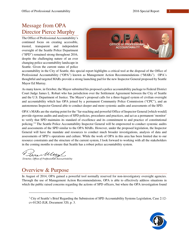# Message from OPA Director Pierce Murphy

The Office of Professional Accountability's continued focus on creating accessible, trusted, transparent and independent oversight of the Seattle Police Department ("SPD") remained strong throughout 2016, despite the challenging nature of an ever changing police accountability landscape in Seattle. Given the current status of police



accountability in the City of Seattle, this special report highlights a critical tool at the disposal of the Office of Professional Accountability ("OPA") known as Management Action Recommendations ("MARs"). OPA's thoughtful and targeted MARs provide a strong launching pad for the new Inspector General proposed by Seattle Mayor Ed Murray.

As many know, in October, the Mayor submitted his proposed a police accountability package to Federal District Court Judge James L. Robart who has jurisdiction over the Settlement Agreement between the City of Seattle and the U.S. Department of Justice. The Mayor's proposal calls for a three-legged system of civilian oversight and accountability which has OPA joined by a permanent Community Police Commission ("CPC"), and an autonomous Inspector General able to conduct deeper and more systemic audits and assessments of the SPD.

OPA's MARs are the starting point for the "far-reaching and powerful Office of Inspector General [which would] provide rigorous audits and analyses of SPD policies, procedures and practices, and act as a permanent 'monitor' to verify that SPD maintains its standard of excellence and its commitment to and practice of constitutional policing."<sup>1</sup> The Seattle Police Accountability Inspector General will be empowered to conduct systemic audits and assessments of the SPD similar to the OPA MARs. However, under the proposed legislation, the Inspector General will have the mandate and resources to conduct much broader investigations, analysis of data and assessments of SPD's operations and culture. While the work of OPA in this area has been limited due to our resource constraints and the structure of the current system, I look forward to working with all the stakeholders in the coming months to ensure that Seattle has a robust police accountability system.

iere Must

Director, Office of Professional Accountability

# Overview & Purpose

 $\ddot{ }$ 

In August of 2014, OPA gained a powerful tool normally reserved for non-investigatory oversight agencies. Through the use of Management Action Recommendations, OPA is able to effectively address situations in which the public raised concerns regarding the actions of SPD officers, but where the OPA investigation found

<sup>&</sup>lt;sup>1</sup> City of Seattle's Brief Regarding the Submission of SPD Accountability Systems Legislation, Case 2:12cv-01282-JLR, Document 320, p. 3.

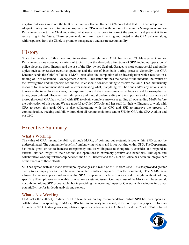negative outcomes were not the fault of individual officers. Rather, OPA concluded that SPD had not provided adequate policy guidance, training or supervision. OPA now has the option of sending a Management Action Recommendation to the Chief indicating what needs to be done to correct the problem and prevent it from reoccurring in the future. These recommendations are made in writing and posted on the OPA website, along with responses from the Chief, to promote transparency and assure accountability.

## **History**

Since the creation of this new and innovative oversight tool, OPA has issued 21 Management Action Recommendations covering a variety of topics, from the day-to-day functions of SPD including operation of police bicycles, photo-lineups, and the use of the City-owned SeaPark Garage, to more controversial and public topics such as excessive overtime spending and the use of blast-balls during protests. Generally, the OPA Director sends the Chief of Police a MAR letter after the completion of an investigation which resulted in a finding of "Not Sustained – Management Action." This letter outlines the nature of the incident, the results of the investigation and the specific actions the Chief should consider taking to resolve the issue. The Chief usually responds to the recommendation with a letter indicating what, if anything, will be done and/or any actions taken to resolve the issue. In some cases, the response from SPD has been somewhat ambiguous and follow-up has, at times, been delayed. However, with diligence and mutual understanding of the importance of an accurate and thorough record, OPA has worked with SPD to obtain complete answers regarding all outstanding MARs before the publication of this report. We are grateful to Chief O'Toole and her staff for their willingness to work with OPA to reach this goal. OPA is also collaborating with the CPC and SPD to improve the process of communication, tracking and follow through of all recommendations sent to SPD by OPA, the OPA Auditor and the CPC.

# Executive Summary

## What's Working

The value of OPA having the ability, through MARs, of pointing out systemic issues within SPD cannot be underestimated. The community benefits from knowing what is and is not working within SPD. The Department has made great strides to increase transparency and its willingness to thoughtfully consider and respond to external civilian insight of their actions and operations is extremely positive and beneficial. This open and collaborative working relationship between the OPA Director and the Chief of Police has been an integral part of the success of these efforts.

SPD has agreed with and made several policy changes as a result of MARs from OPA. This has provided greater clarity to its employees and, we believe, prevented similar complaints from the community. The MARs have allowed for various operational areas within SPD to experience the benefit of external oversight, without holding specific SPD employees accountable for what were systemic issues. Continued use of the MARs will be essential, not only in holding SPD accountable, but in providing the incoming Inspector General with a window into areas potentially ripe for in-depth analysis and review.

## What's Not Working

OPA lacks the authority to direct SPD to take action on any recommendation. While SPD has been open and collaborative in responding to MARs, OPA has no authority to demand, direct, or expect any specific followthrough by SPD. A strong working relationship exists between the OPA Director and the Chief of Police based

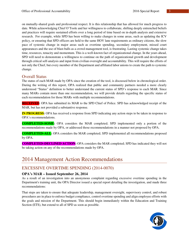on mutually-shared goals and professional respect. It is this relationship that has allowed for much progress to date. While acknowledging Chief O'Toole and her willingness to collaborate, shifting deeply entrenched beliefs and practices will require sustained efforts over a long period of time based on in-depth analysis and extensive research. For example, while SPD has been willing to make changes in some areas, such as updating the ICV policy, or ensuring that SPD officers are held to the same HOV lane requirements as ordinary citizens, the slow pace of systemic change in major areas such as overtime spending, secondary employment, missed court appearances and the use of blast-balls as a crowd management tool, is frustrating. Lasting systemic change takes time, resources, tenacity and momentum. This is a well-known fact of organizational change. In the years ahead, SPD will need to demonstrate a willingness to continue on the path of organizational growth and development through critical self-analysis and input from civilian oversight and accountability. This will require the efforts of not only the Chief, but every member of the Department and affiliated labor unions to create the path to systemic change.

## Overall Status

The status of each MAR made by OPA since the creation of the tool, is discussed below in chronological order. During the writing of this report, OPA realized that public and community partners needed a more clearly understood "Status" definition to better understand the current status of SPD's response to each MAR. Since many MARs contain more than one recommendation, we will provide details regarding the specific status of each recommendation for those MARs with multiple recommendations.

**RECEIVED:** OPA has submitted its MAR to the SPD Chief of Police. SPD has acknowledged receipt of the MAR, but has not provided a substantive response.

**IN PROGRESS:** OPA has received a response from SPD indicating any action steps to be taken in response to OPA's recommendations.

**COMPLETED–SOME:** OPA considers the MAR completed; SPD implemented only a portion of the recommendations made by OPA, or addressed those recommendations in a manner not proposed by OPA.

**COMPLETED–ALL:** OPA considers the MAR completed; SPD implemented all recommendations proposed by OPA.

**COMPLETED–DECLINED ACTION:** OPA considers the MAR completed; SPD has indicated they will not be taking action on any of the recommendations made by OPA.

# 2014 Management Action Recommendations

## EXCESSIVE OVERTIME SPENDING (2014-0070)

## **OPA's MAR – Issued September 26, 2014**

As a result of an investigation into an anonymous complaint regarding excessive overtime spending in the Department's training unit, the OPA Director issued a special report detailing the investigation, and made three recommendations:

That steps are taken to ensure that adequate leadership, management oversight, supervisory control, and robust procedures are in place to enforce budget compliance, control overtime spending and align employee efforts with the goals and mission of the Department. This should begin immediately within the Education and Training Section (ETS), but extend to all of SPD as soon as possible.

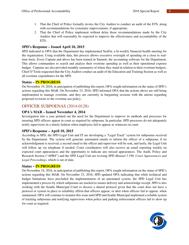- 1. That the Chief of Police formally invites the City Auditor to conduct an audit of the ETS, along with recommendations for systematic improvements, if appropriate.
- 2. That the Chief of Police implement without delay those recommendations made by the City Auditor that will reasonably be expected to improve the effectiveness and accountability of the ETS.

## **SPD's Response – Issued April 10, 2015**

SPD indicated to OPA that the Department has implemented SeaFin, a bi-weekly financial health meeting for the organization. Using available data, this process allows executive oversight of spending on a close to realtime basis. Every Captain and above has been trained in Summit, the accounting software for the Department. This allows commanders to search and analyze their overtime spending as well as their operational expense budget. Captains are also provided monthly summaries of where they stand in relation to their overtime budgets. Chief O'Toole requested that the City Auditor conduct an audit of the Education and Training Section as well as all overtime expenditures for the SPD.

## **Status – IN PROGRESS**

On November 19, 2016, in anticipation of publishing this report, OPA sought information on the status of SPD's actions regarding this MAR. On November 23, 2016, SPD informed OPA that the actions above are still being implemented to manage overtime, and they are currently in bargaining sessions with the unions regarding proposed revisions to the overtime use policy.

## OFFICER SUBPOENAS (2014-0128)

## **OPA's MAR – Issued November 4, 2014**

Investigation into a case pointed out the need for the Department to improve its methods and processes for ensuring SPD officers appear in court as required by subpoena. In particular, SPD processes do not adequately notify supervisors in a timely fashion when employees fail to appear as witnesses in court.

## **SPD's Response – April 10, 2015**

According to SPD, the SPD Legal Unit and IT are developing a "Legal Track" system for subpoenas received by the Department. The system will generate automated emails to inform the officer of a subpoena; if no acknowledgment is received, a second email to the officer and supervisor will be sent, and lastly, the Legal Unit will follow up via telephone if needed. Court coordinators will also receive an email reporting weekly on expected court appearances and the opportunity to indicate any missed appearances. The Audit, Policy and Research Section ("APRS") and the SPD Legal Unit are revising SPD *Manual 5.190, Court Appearances and Legal Proceedings*, which is out of date.

## **Status – IN PROGRESS**

On November 19, 2016, in anticipation of publishing this report, OPA sought information on the status of SPD's actions regarding this MAR. On November 23, 2016, SPD updated OPA indicating that while technical and budget limitations have precluded the implementation of an automated system, the SPD Legal Unit has implemented a process by which subpoenas are tracked to ensure delivery and acknowledge receipt. SPD is also working with the Seattle Municipal Court to discuss a shared protocol given that the court does not have a protocol or system in place to reliability affirm that officers appear, or alert when officers fail to appear, when summoned. OPA will continue to monitor this issue until SPD and Seattle Municipal implement a reliable system of tracking subpoenas and notifying supervisors when police and parking enforcement officers fail to show up for court as required.

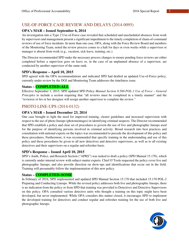## USE-OF-FORCE CASE REVIEW AND DELAYS (2014-0095)

## **OPA's MAR – Issued September 6, 2014**

An investigation into a Type 2 Use-of-Force case revealed that scheduled and unscheduled absences from work by supervisors and management present a significant impediment to the timely completion of chain-of-command reviews of use of force incidents. In more than one case, OPA, along with the Force Review Board and members of the Monitoring Team, noted the review process comes to a halt for days or even weeks while a supervisor or manager is absent from work (e.g., vacation, sick leave, training, etc.).

The Director recommended SPD make the necessary process changes to ensure pending force reviews are either completed before a supervisor goes on leave or, in the case of an unplanned absence of a supervisor, are conducted by another supervisor of the same rank.

## **SPD's Response – April 10, 2015**

SPD agreed with the OPA recommendations and indicated SPD had drafted an updated Use-of-Force policy, currently under review by the DOJ and Monitoring Team addresses the timeliness issue.

## **Status – COMPLETED–ALL**

Effective September 1, 2015, SPD updated SPD Policy *Manual Section 8.500-POL-1 Use of Force – General Principles* to include a section requiring that "all reviews must be completed in a timely manner" and the "reviewer or his or her designee will assign another supervisor to complete the review."

## PHOTO LINE-UPS (2014-0132)

## **OPA's MAR – Issued December 23, 2014**

One case brought to light the need for improved training, clearer guidelines and increased supervision with respect to the use of photo lineups (photomontages) in identifying criminal suspects. The Director recommended that SPD establish a policy and clear set of procedures to govern the use of live and photographic lineups used for the purpose of identifying persons involved in criminal activity. Broad research into best practices and consultation with national experts on the topics was recommended to precede the development of this policy and these procedures. Furthermore, it was recommended that specific training in the understanding and use of this policy and these procedures be given to all new detectives and detective supervisors, as well as to all existing detectives and their supervisors on a regular and refresher basis.

## **SPD's Response – Issued April 10, 2015**

SPD's Audit, Police, and Research Section ("APRS") was tasked to draft a policy (SPD Manual 15.170), which is currently under internal review with subject-matter experts. Chief O'Toole requested the policy cover live and photographic lineups, and also provide direction on show-ups and identifications that occur out in the field. Training will presumably follow the implementation of this new policy.

## **Status – COMPLETED–SOME**

In February of 2016, SPD implemented and updated SPD Manual Section 15.170 that included 15.170 POL-2 Preparing and Conducting Lineups. While the revised policy addresses both live and photographic lineups, there is no indication from the policy or from SPD that training was provided to Detectives and Detective Supervisors on this policy. OPA consulted various detective units who thought a training on this topic might have been developed, but never implemented. While OPA considers this matter closed, it encourages SPD to implement the developed training for detectives and conduct regular and refresher training for the use of both live and photographic lineups.

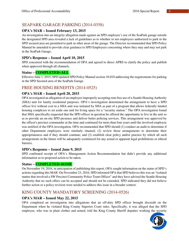## SEAPARK GARAGE PARKING (2014-0358)

## **OPA's MAR – Issued February 13, 2015**

An investigation into an integrity allegation made against an SPD employee's use of the SeaPark garage outside the designated SPD area revealed a lack of guidelines as to whether or not employees authorized to park in the SPD secured area are permitted to park in other areas of the garage. The Director recommended that SPD Policy Manual be amended to provide clear guidance to SPD Employees concerning where they may and may not park in the SeaPark Garage.

#### **SPD's Response – Issued April 10, 2015**

SPD concurred with the recommendation of OPA and agreed to direct APRS to clarify the policy and publish when approved through all channels.

#### **Status – COMPLETED–ALL**

Effective June 1, 2015, SPD updated SPD Policy Manual section 10.010 addressing the requirements for parking in the SPD Secured area of the SeaPark Garage.

## FREE HOUSING BENEFITS (2014-0525)

## **OPA's MAR – Issued April 20, 2015**

OPA investigated an allegation of an employee improperly accepting rent-free use of a Seattle Housing Authority (SHA) unit for family residential purposes. OPA's investigation determined the arrangement to have a SPD officer live without cost in a SHA unit was initiated by SHA as part of a program that allows federally funded housing complexes to set aside one unit for living space for a "security station." The OPA investigation found that SHA specifically requested that the SPD officer in question be offered the opportunity to live in the unit so as to provide an on-site SPD presence and deliver better policing services. This arrangement was approved by the officer's precinct commander at the time and continued for more than four years until the involved employee was notified of the OPA investigation. OPA recommended that SPD should (1) conduct an audit to determine if other Department employees were similarly situated; (2) review those arrangements to determine their appropriateness and if they should continue; and (3) establish clear policy and/or practice by which all such arrangements in the future will be adequately scrutinized for any actual or apparent legal prohibitions or ethical barriers.

## **SPD's Response – Issued June 9, 2015**

SPD confirmed receipt of OPA's Management Action Recommendation but didn't provide any additional information as to proposed action to be taken.

## **Status – COMPLETED–SOME**

On November 19, 2016, in anticipation of publishing this report, OPA sought information on the status of SPD's actions regarding this MAR. On November 23, 2016, SPD informed OPA that SPD believes this was an "isolated matter that involved a SW Precinct Community Police Team Officer" and they have advised the Seattle Housing Authority that no such offers can be accepted and should not be extended. SPD indicated they did not believe further action or a policy revision were needed to address this issue in a broader context.

## KING COUNTY MANDATORY SCREENING (2014-0526)

## **OPA's MAR – Issued May 22, 2015**

OPA completed an investigation into allegations that an off-duty SPD officer brought discredit on the Department when he violated King County Superior Court rules. Specifically, it was alleged that the SPD employee, who was in plain clothes and armed, told the King County Sheriff deputies working the security

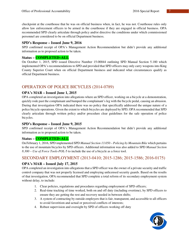checkpoint at the courthouse that he was on official business when, in fact, he was not. Courthouse rules only allow law enforcement officers to be armed in the courthouse if they are engaged in official business. OPA recommended SPD clearly articulate through policy and/or directive the conditions under which commissioned personnel are considered to be on official Department business.

## **SPD's Response – Issued June 9, 2016**

SPD confirmed receipt of OPA's Management Action Recommendation but didn't provide any additional information as to proposed action to be taken.

## **Status – COMPLETED–ALL**

On October 1, 2015, SPD issued Directive Number 15-00044 outlining SPD Manual Section 5.180 which implemented OPA's recommendations to SPD and provided that SPD officers may only carry weapons into King County Superior Court when on official Department business and indicated what circumstances qualify as official Department business.

## OPERATION OF POLICE BICYCLES (2014-0789)

## **OPA's MAR – Issued June 1, 2015**

OPA completed an investigation into allegations where an SPD officer, working on a bicycle at a demonstration, quickly rode past the complainant and bumped the complainant's leg with the bicycle pedal, causing an abrasion. During that investigation OPA indicated there was no policy that specifically addressed the unique nature of a police bicycle operations. Given the extent to which bicycles are deployed by SPD, OPA recommended that SPD clearly articulate through written policy and/or procedure clear guidelines for the safe operation of police bicycles.

## **SPD's Response – Issued June 9, 2015**

SPD confirmed receipt of OPA's Management Action Recommendation but didn't provide any additional information as to proposed action to be taken.

## **Status – COMPLETED–ALL**

On February 1, 2016, SPD implemented SPD *Manual Section 13.050 – Policing by Mountain Bike* which pertains to the use of mountain bicycles by SPD officers. Additional information was also added to SPD *Manual Section 8.300 – Use of Force Tools-POL-*5 to include the use of a bicycle as a force tool.

## SECONDARY EMPLOYMENT (2013-0410; 2015-1286; 2015-1586; 2016-0175)

## **OPA's MAR – Issued July 17, 2015**

OPA completed an investigation into allegations that a SPD officer was the owner of a private security and traffic control company that was not properly licensed and employing unlicensed security guards. Based on the results of that investigation, OPA recommended that SPD complete a total reform of its secondary employment system without delay, to include:

- 1. Clear policies, regulations and procedures regarding employment of SPD officers;
- 2. Real-time tracking of time worked, both on and off duty (including overtime), by SPD officers to ensure they are getting the rest and recovery needed in between shifts;
- 3. A system of contracting by outside employers that is fair, transparent, and accessible to all officers to avoid favoritism and actual or perceived conflicts of interests;
- 4. Robust supervision and oversight by SPD of officers working off duty

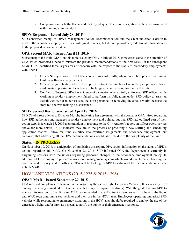5. Compensation for both officers and the City adequate to ensure recognition of the costs associated with training, equipment, etc.

#### **SPD's Response – Issued July 28, 2015**

SPD confirmed receipt of OPA's Management Action Recommendation and the Chief indicated a desire to resolve the secondary employment issue with great urgency, but did not provide any additional information as to the proposed action to be taken.

## **OPA Second MAR – Issued April 11, 2016**

Subsequent to the initial MAR on this topic issued by OPA in July of 2015, three cases came to the attention of OPA which promoted a need to reiterate the previous recommendations of the first MAR. In the subsequent MAR, OPA identified three larger areas of concern with the respect to the status of "secondary employment" within SPD:

- 1. Officer Safety Some SPD Officers are working solo shifts, where police best practices require at least two officers at any incident.
- 2. Officer Fatigue: Inability for SPD to properly track the number of secondary employment hours used creates opportunity for officers to be fatigued when arriving for their SPD shift.
- 3. Conflicts of Interest: OPA has evidence of a situation where a fully uniformed SPD officer, while working secondary employment failed to perform his obligations under SPD policy to assist an assault victim, but rather assisted the store personnel in removing the assault victim because the store felt she was making a disturbance.

#### **SPD's Second Response – Issued April 18, 2016**

SPD Chief wrote a letter to Director Murphy indicating her agreement with the concerns OPA raised regarding how SPD authorizes and manages secondary employment and pointed out that SPD had outlined part of their action steps in a March 15, 2016 memorandum in response to the City Auditor's report on officer overtime (see above for more details). SPD indicates they are in the process of procuring a new staffing and scheduling application that will allow real-time visibility into overtime assignments and secondary employment, but cautioned that addressing all the OPA recommendations would take time due to the complexity of the issue.

#### **Status – IN PROGRESS**

On November 19, 2016, in anticipation of publishing this report, OPA sought information on the status of SPD's actions regarding this MAR. On November 23, 2016, SPD informed OPA the Department is currently in bargaining sessions with the unions regarding proposed changes to the secondary employment policy. In addition, SPD is looking to procure a workforce management system which would enable better tracking the overtime and off-duty work of officers. OPA will be looking for SPD to address all the recommendations made in both MARs.

## HOV LANE VIOLATIONS (2015-1225 & 2015-1296)

## **OPA's MAR – Issued September 29, 2015**

OPA received complaints from an individual regarding the use of High Occupancy Vehicle (HOV) lanes by SPD employees driving unmarked SPD vehicles with a single occupant (the driver). With the goal of aiding SPD to maintain its reservoir of public trust, OPA recommended that SPD direct its employees to adhere to the RCW and WAC regarding unmarked vehicles and their use in the HOV lanes. Employees operating unmarked SPD vehicles while responding to emergency situations in the HOV lanes should be required to employ the use of the emergency lights and/or siren as a means to notify the public of their emergency response.

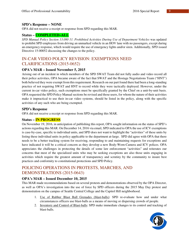#### **SPD's Response – NONE**

OPA did not receive a receipt or response from SPD regarding this MAR.

#### **Status – COMPLETED–ALL**

*SPD Manual Policy Section 13.080 11. Prohibited Activities During Use of Department Vehicles* was updated to prohibit SPD employees from driving an unmarked vehicle in an HOV lane with no passengers, except during an emergency response, which would require the use of emergency lights and/or siren. Additionally, SPD issued Directive 15-00052 discussing the changes to the policy.

## IN-CAR VIDEO POLICY REVISION: EXEMPTIONS NEED CLARIFICATIONS (2015-0652)

## **OPA's MAR – Issued November 5, 2015**

Arising out of an incident in which members of the SPD SWAT Team did not fully audio and video record all their police activities, OPA became aware of the fact that SWAT and the Hostage Negotiations Team ("HNT") both believed they were exempt from this requirement. Research on our part found there had been a long-standing practice of not requiring SWAT and HNT to record while they were tactically deployed. However, under the current in-car video policy, such exemptions must be specifically granted by the Chief on a unit-by-unit basis. OPA requested the SPD Policy Manual sections be revised and those users, for whom the nature of their activities make it impractical to use their in-car video systems, should be listed in the policy, along with the specific activities of any such who are being exempted.

#### **SPD's Response**

OPA did not receive a receipt or response from SPD regarding this MAR.

#### **Status – IN PROGRESS**

On November 19, 2016, in anticipation of publishing this report, OPA sought information on the status of SPD's actions regarding this MAR. On December 14, 2016 via email, SPD indicated to OPA the use of ICV exemptions is case-by-case, specific to individual units, and SPD does not want to highlight the "activities" of these units by listing these individual units in policy applicable to the department at-large. SPD did agree with OPA that there needs to be a better tracking system for receiving, responding to and maintaining requests for exceptions and have indicated it will be a critical concern as they develop a new Body-Worn-Camera and ICV polices. OPA appreciates the challenges in protecting the details of some law enforcement "activities" and reiterates our concerns that most of the specialized units who may be seeking exceptions are also those units engaging in activities which require the greatest amount of transparency and scrutiny by the community to insure best practices and conformity to constitutional protections and SPD Policy.

## POLICING OPERATIONS IN PROTESTS, MARCHES, AND DEMONSTRATIONS (2015-0643)

#### **OPA's MAR – Issued December 10, 2015**

This MAR made recommendations based on several protests and demonstrations observed by the OPA Director, as well as OPA's investigation into the use of force by SPD officers during the 2015 May Day protest and demonstration on the campus of Seattle Central College and the Capitol Hill neighborhood.

- 1. Use of Rubber Blast Ball Grenades (blast-balls): SPD re-evaluate how and under what circumstances officers use blast-balls as a means of moving or dispersing crowds of people.
- 2. Inventory and Control of Blast-balls: SPD make immediate changes to its control and tracking of blast-balls.

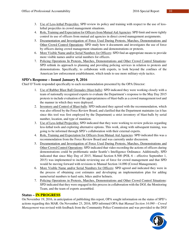- 3. Use of Less-lethal Projectiles: SPD review its policy and training with respect to the use of lesslethal projectiles in crowd management situations.
- 4. Role, Training and Expectation for Officers from Mutual Aid Agencies: SPD limit and more tightly control its use of officers from mutual aid agencies in direct crowd management assignments.
- 5. Documentation and Investigation of Force Used During Protests, Marches, Demonstrations and Other Crowd Control Operations: SPD study how it documents and investigates the use of force by officers during crowd management situations and demonstrations or protests.
- 6. More Visible Name and/or Serial Numbers for Officers: SPD find an appropriate means to provide more visible names and/or serial numbers for officers.
- 7. Policing Operations In Protests, Marches, Demonstrations and Other Crowd Control Situations: SPD rethink its approach to planning and providing policing services in relation to protests and demonstrations. Specifically, to collaborate with experts, to look beyond the confines of the American law enforcement establishment, which tends to use more military-style tactics.

## **SPD's Response – Issued January 8, 2016**

Chief O'Toole responded specifically to each recommendation presented by the OPA Director:

- 1. Use of Rubber Blast Ball Grenades (blast-balls): SPD indicated they were working closely with a team of nationally recognized experts to evaluate the Department's response to the May Day 2015 protests to include evaluation of the appropriateness of blast-balls as a crowd management tool and the manner in which they were deployed.
- 2. Inventory and Control of Blast-balls: SPD indicated they agreed with the recommendation, which was also offered by the Force Review Board, and clarified that the Department maintains (as it has since this tool was first employed by the Department) a strict inventory of blast-balls by serial number, location, and type of munition.
- 3. Use of Less-lethal Projectiles: SPD indicated that they were working to review policies regarding less-lethal tools and exploring alternative options. This work, along with subsequent training, was going to be informed through SPD's collaboration with their external experts.
- 4. Role, Training and Expectation for Officers from Mutual Aid Agencies: SPD indicated this was a recommendation from the Force Review Board and was currently under discussion.
- 5. Documentation and Investigation of Force Used During Protests, Marches, Demonstrations and Other Crowd Control Operations: SPD indicated that video recording the actions of officers during demonstrations could be problematic under Seattle's Intelligence Ordinance. Additionally, SPD indicated that since May Day of 2015, Manual Section 8.500 (POL 6 – effective September 1, 2015) was implemented to include reviewing use of force for crowd management and that SPD would be moving forward with revisions to Manual Section 14.090 (Crowd Management).
- 6. More Visible Name and/or Serial Numbers for Officers: SPD agreed and indicated they were in the process of obtaining cost estimates and developing an implementation plan for adding name/serial numbers to hard suits, bikes and/or helmets.
- 7. Policing Operations in Protests, Marches, Demonstrations and Other Crowd Control Situations: SPD indicated that they were engaged in this process in collaboration with the DOJ, the Monitoring Team, and the team of experts assembled.

## **Status – IN PROGRESS**

On November 19, 2016, in anticipation of publishing this report, OPA sought information on the status of SPD's actions regarding this MAR. On November 23, 2016, SPD informed OPA that *Manual Section 14.090 – Crowd Management* was revised with feedback from the Community Police Commission and was provided to the DOJ

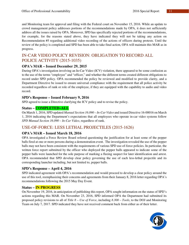and Monitoring team for approval and filing with the Federal court on November 15, 2016. While an update to crowd management policy addresses portions of the recommendations made by OPA, it does not sufficiently address all the issues raised by OPA. Moreover, SPD has specifically rejected portions of the recommendations, for example, for the reasons stated above, they have indicated they will not be taking any action on Recommendation #5 regarding additional video recording of the actions of officers during protests. Until the review of the policy is completed and SPD has been able to take final action, OPA will maintain this MAR as in progress.

## IN-CAR VIDEO POLICY REVISION: OBLIGATION TO RECORD ALL POLICE ACTIVITY (2015-1035)

## **OPA's MAR – Issued December 29, 2015**

During OPA's investigation involving an In-Car Video (ICV) violation, there appeared to be some confusion as to the use of the terms "employee" and "officer," and whether the different terms created different obligations to record under SPD policy. OPA recommended the policy be reviewed and modified to provide clarity, and a Department Directive be issued to ensure universal compliance with the requirement that all police activity be recorded regardless of rank or role of the employee, if they are equipped with the capability to audio and video record.

## **SPD's Response – Issued February 9, 2016**

SPD agreed to issue a Directive clarifying the ICV policy and to revise the policy.

## **Status – COMPLETED–ALL**

On March 1, 2016, SPD updated *Manual Section 16.090 – In-Car Video* and issued Directive 16-00016 on March 1, 2016 indicating the Department's expectations that all employees who operate in-car video systems follow *SPD Manual Section 16.090 – In-Car Video*, regardless of rank.

## USE-OF-FORCE: LESS LETHAL PROJECTILES (2015-1626)

## **OPA's MAR – Issued March 18, 2016**

OPA investigated a Force Review Board referral questioning the justification for at least some of the pepper balls fired at one or more persons during a demonstration event. The investigation revealed the use of the pepper balls may not have been consistent with the requirements of various SPD use-of-force policies. In particular, the written force report submitted by the officer who deployed the pepper balls appeared to indicate some of the pepper balls were launched for the sole purpose of marking a fleeing suspect for later identification and arrest. OPA recommended that SPD develop clear policy governing the use of each less-lethal projectile and its corresponding launcher including, but not limited to, pepper balls.

## **SPD's Response – April 4, 2016**

SPD indicated agreement with OPA's recommendation and would proceed to develop a clear policy around the use of this tool, reemphasizing their concerns and agreements from their January 8, 2016 letter regarding OPA's recommendations following the 2015 May Day Event.

## **Status – IN PROGRESS**

On November 19, 2016, in anticipation of publishing this report, OPA sought information on the status of SPD's actions regarding this MAR. On November 23, 2016, SPD informed OPA the Department had submitted its proposed policy revisions to all of *Title 8 – Use of Force*, including *8.300 – Tools*, to the DOJ and Monitoring Team on July 7, 2017. SPD indicated they have not received comment back from either as of their letter.

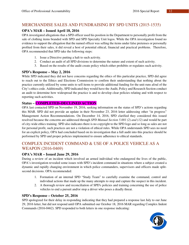## MERCHANDISE SALES AND FUNDRAISING BY SPD UNITS (2015-1535)

## **OPA's MAR – Issued April 18, 2016**

OPA investigated allegations that a SPD officer used his position in the Department to personally profit from the sale of clothing items branded with SPD and SPD Specialty Unit logos. While the OPA investigation found no evidence to support the allegation that the named officer was selling the items under false pretenses or personally profited from their sales, it did reveal a host of potential ethical, financial and practical problems. Therefore, OPA recommended that SPD take the following steps:

- 1. Issue a Directive putting a halt to such activity.
- 2. Conduct an audit of all SPD divisions to determine the nature and extent of such activity.
- 3. Based on the results of the audit create policy which either prohibits or regulates such activity.

## **SPD's Response – May 2, 2016**

While SPD indicated they did not have concerns regarding the ethics of this particular practice, SPD did agree to reach out to the Ethics and Elections Commission to confirm their understanding that nothing about the practice currently utilized by some units to sell items to provide additional funding for the unit runs afoul of the City's ethics code. Additionally, SPD indicated they would have the Audit, Policy and Research Section conduct an audit to determine how widespread the practice is and to develop clear policies relating and with respect to reporting such activities.

## **Status – COMPLETED–DECLINED ACTION**

OPA last contacted SPD on November 19, 2016, seeking information on the status of SPD's actions regarding this MAR. SPD did not provide an update in their November 23, 2016 letter addressing other "in progress" Management Action Recommendations. On December 14, 2016, SPD clarified they considered this issued resolved because the concerns are addressed through *SPD Manual Section 5.001 (2) and (12)* and would be part of city-wide ethics training. SPD also indicates there is no copyright to the SPD logo and so long as sales are not for personal profit, such practices are not a violation of ethical rules. While OPA understands SPD sees no need for an explicit policy, OPA had concluded based on its investigation that a full audit into this practice should be performed by SPD and proper policies implemented to ensure adherence to ethical standards.

## COMPLEX INCIDENT COMMAND & USE OF A POLICE VEHICLE AS A WEAPON (2016-0469)

## **OPA's MAR – Issued June 29, 2016**

During a review of an incident which involved an armed individual who endangered the lives of the public, OPA's investigation revealed some issues with SPD's incident command in situations where a subject created a dynamic and rapidly changing environment in which police commanders, supervisors and officers made splitsecond decisions. OPA recommended:

- 1. Formation of an internal SPD "Study Team" to carefully examine the command, control and individual actions that made up the many attempts to stop and capture the suspect in this incident.
- 2. A thorough review and reconciliation of SPD's policies and training concerning the use of police vehicles to end a pursuit and/or stop a driver who poses a deadly threat.

## **SPD's Response – October 25, 2016**

SPD apologized for their delay in responding indicating that they had prepared a response last July to our June 29, 2016 letter, but did not respond until OPA submitted our October 18, 2016 MAR regarding Complex Indent Commands (2016-0462). SPD responded to both letters in one response indicating:

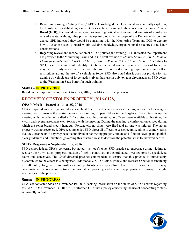- 1. Regarding forming a "Study Team," SPD acknowledged the Department was currently exploring the feasibility of establishing a separate review board, similar to the concept of the Force Review Board (FRB), that would be dedicated to ensuring critical self-review and analysis of non-forcerelated events. Although this process is squarely outside the scope of the Department's consent decree, SPD indicated they would be consulting with the Monitoring Team and DOJ to explore how to establish such a board within existing bandwidth, organizational structures, and labor considerations.
- 2. Regarding review and reconciliation of SPD's policies and training, SPD indicated the Department has provided to the Monitoring Team and DOJ a draft revision of *Manual Sections 13.031 – Vehicle Eluding/Pursuits* and *8.300-POL-7 Use of Force – Vehicle-Related Force Tactics*. According to SPD, these revisions would identify intentional vehicle-to-vehicle contacts as uses of force that may be used only when consistent with the use of force and reporting requirements, and reflect restrictions around the use of a vehicle as force. SPD also noted that it does not provide formal training on vehicle use of force tactics, given their use in only exigent circumstances. SPD defers to the Washington State Patrol for such training.

## **Status – IN PROGRESS**

Based on the response received on October 25, 2016, this MAR is still in progress.

## RECOVERY OF STOLEN PROPERTY (2016-0128)

## **OPA's MAR – Issued August 25, 2016**

OPA completed an investigation into a complaint that SPD officers encouraged a burglary victim to arrange a meeting with someone the victim believed was selling property taken in the burglary. The victim set up the meeting with the seller and called 911 for assistance. Unfortunately, no officers were available at that time; the victim and several associates went forward with the meeting. During the meeting, a confrontation ensued during which the seller brandished a handgun. Fortunately, no shots were fired and no one was injured. The stolen property was not recovered. OPA recommended SPD direct all officers to cease recommending to crime victims that they arrange or in any way become involved in recovering property stolen, and if not to develop and publish clear guidelines and limitations governing this practice so as to decrease the potential risks to involved parties.

## **SPD's Response – September 15, 2016**

SPD acknowledged OPA's concerns, but noted it is not *de facto* SPD practice to encourage crime victims to recover their own stolen property, outside of highly controlled and coordinated investigations by specialized teams and detectives. The Chief directed precinct commanders to ensure that this practice is immediately discontinued to the extent it is being used. Additionally, SPD's Audit, Policy, and Research Section is finalizing a draft policy to govern circumstances and protocols when specialized teams, officers or detectives may coordinate with cooperating victims to recover stolen property, and to assure appropriate supervisory oversight at all stages of the process.

## **Status – IN PROGRESS**

OPA last contacted SPD on November 19, 2016, seeking information on the status of SPD's actions regarding this MAR. On November 23, 2016, SPD informed OPA that a policy concerning the use of cooperating victims is currently in draft.

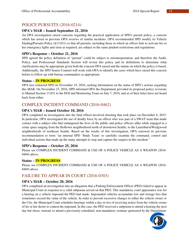## POLICE PURSUITS (2016-0214)

## **OPA's MAR – Issued September 21, 2016**

An OPA investigation raised concerns regarding the practical application of SPD's pursuit policy, a concern which has arisen in previous OPA reviews of similar incidents. OPA recommended SPD modify its Vehicle Eluding/Pursuits Policy (§13.031) so that all pursuits, including those in which an officer fails to activate his or her emergency lights and siren as required, are subject to the same prudent restrictions and regulations.

## **SPD's Response – October 21, 2016**

SPD agreed the policy definition of "pursuit" could be subject to misinterpretation, and therefore the Audit, Policy, and Professional Standards Section will revisit this policy and its definitions to determine what clarifications may be appropriate given both the concern OPA raised and the statute on which the policy is based. Additionally, the SPD Senior Counsel will work with OPA to identify the cases which have raised this concern before to follow up with bureau commanders as appropriate.

#### **Status – IN PROGRESS**

OPA last contacted SPD on November 19, 2016, seeking information on the status of SPD's actions regarding this MAR. On November 23, 2016, SPD informed OPA the Department provided its proposed policy revisions to Manual Section 13.031 to the DOJ and Monitoring Team on July 7, 2016, and as of their letter have not heard back from either.

## COMPLEX INCIDENT COMMAND (2016-0462)

#### **OPA's MAR – Issued October 18, 2016**

OPA completed an investigation into the fatal officer-involved shooting that took place on December 6, 2015. In particular, OPA investigated the use of deadly force by an officer who was part of a SWAT team that made contact with a subject who had endangered the lives of the public and police officers alike while engaged in a crime spree ranging from the Belltown neighborhood north of downtown Seattle, to the Laurelhurst/Wedgwood neighborhoods of northeast Seattle. Based on the results of this investigation, OPA renewed its previous recommendation to form "an internal SPD 'Study Team' to carefully examine the command, control and individual actions that made up the many attempts to stop and capture the suspect in this incident."

#### **SPD's Response – October 25, 2016**

Please see COMPLEX INCIDENT COMMAND & USE OF A POLICE VEHICLE AS A WEAPON (2016- 0469) above.

#### **Status – IN PROGRESS**

Please see COMPLEX INCIDENT COMMAND & USE OF A POLICE VEHICLE AS A WEAPON (2016- 0469) above.

## FAILURE TO APPEAR IN COURT (2016-0303)

## **OPA's MAR – October 20, 2016**

OPA completed an investigation into an allegation that a Parking Enforcement Officer (PEO) failed to appear in Municipal Court in response to a valid subpoena served on that PEO. This mandatory court appearance was for a hearing on a vehicle impound the PEO had made. Impounded vehicles accumulate tow and storage fees that sometimes exceed the value of the vehicle. In order to prevent excessive charges to either the vehicle owner or the City, the Municipal Court schedules hearings within a day or two of receiving notice from the vehicle owner of his or her desire to contest the impound. In this case, the PEO received a subpoena to attend a hearing the next day but chose, instead, to attend a previously-scheduled, non-mandatory seminar sponsored by the Department.

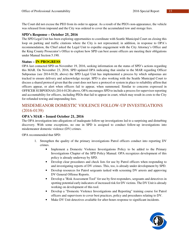The Court did not excuse the PEO from its order to appear. As a result of the PEO's non-appearance, the vehicle was released from impound and the City was ordered to cover the accumulated tow and storage fees.

## **SPD's Response – October 25, 2016**

The SPD Legal Unit has been exploring opportunities to coordinate with Seattle Municipal Court on closing this loop on parking and traffic citations where the City is not represented; in addition, in response to OPA's recommendation, the Chief asked the Legal Unit to expedite engagement with the City Attorney's Office and the King County Prosecutor's Office to explore how SPD can best assure officers are meeting their obligations under Manual Section 5.190.

## **Status – IN PROGRESS**

OPA last contacted SPD on November 19, 2016, seeking information on the status of SPD's actions regarding this MAR. On November 23, 2016, SPD updated OPA indicating that similar to the MAR regarding Officer Subpoenas (see 2014-0128, above) the SPD Legal Unit has implemented a process by which subpoenas are tracked to ensure delivery and acknowledge receipt. SPD is also working with the Seattle Municipal Court to discuss a shared protocol given that the court does not have a protocol or system in place to reliability affirm that officers appear, or alert when officers fail to appear, when summoned. Similar to concerns expressed in OFFICER SUBPOENAS (2014-0128) above, OPA encourages SPD to include a process for supervisor reporting and accountability for officers, including PEOs that fail to appear in court, which may result in costs to the City for refunded towing and impounding fees.

## MISDEMEANOR DOMESTIC VIOLENCE FOLLOW-UP INVESTIGATIONS (2016-0139)

## **OPA's MAR – Issued October 21, 2016**

The OPA investigation into allegations of inadequate follow-up investigations led to a surprising and disturbing discovery. With some exceptions, no one in SPD is assigned to conduct follow-up investigations into misdemeanor domestic violence (DV) crimes.

OPA recommended that SPD:

- 1. Strengthen the quality of the primary investigations Patrol officers conduct into reporting DV crimes.
	- Implement a Domestic Violence Investigations Policy to be added to the Primary Investigations Chapter of the SPD Policy Manual. OPA recognizes development of this policy is already underway by SPD.
	- Develop clear procedures and check lists for use by Patrol officers when responding to and investigating reports of DV crimes. This, too, is already under development by SPD.
	- Develop resources for Patrol sergeants tasked with screening DV arrests and approving DV General Offense Reports.
	- Develop a "Risk Assessment Tool" for use by first responders, sergeants and detectives in spotting potential early indicators of increased risk for DV victims. The DV Unit is already working on development of this tool.
	- Develop a "Domestic Violence Investigations and Reporting" training course for Patrol officers and supervisors to cover best practices, policy and procedures relating to DV.
	- Make DV Unit detectives available for after-hours response to significant incidents.